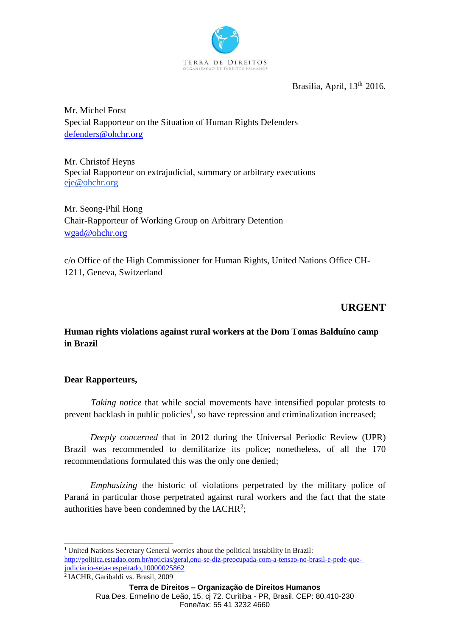

Brasilia, April, 13<sup>th</sup> 2016.

Mr. Michel Forst Special Rapporteur on the Situation of Human Rights Defenders [defenders@ohchr.org](mailto:defenders@ohchr.org)

Mr. Christof Heyns Special Rapporteur on extrajudicial, summary or arbitrary executions [eje@ohchr.org](mailto:eje@ohchr.org)

Mr. Seong-Phil Hong Chair-Rapporteur of Working Group on Arbitrary Detention [wgad@ohchr.org](mailto:wgad@ohchr.org)

c/o Office of the High Commissioner for Human Rights, United Nations Office CH-1211, Geneva, Switzerland

# **URGENT**

**Human rights violations against rural workers at the Dom Tomas Balduíno camp in Brazil**

## **Dear Rapporteurs,**

*Taking notice* that while social movements have intensified popular protests to prevent backlash in public policies<sup>1</sup>, so have repression and criminalization increased;

*Deeply concerned* that in 2012 during the Universal Periodic Review (UPR) Brazil was recommended to demilitarize its police; nonetheless, of all the 170 recommendations formulated this was the only one denied;

*Emphasizing* the historic of violations perpetrated by the military police of Paraná in particular those perpetrated against rural workers and the fact that the state authorities have been condemned by the IACHR<sup>2</sup>;

<sup>&</sup>lt;sup>1</sup> United Nations Secretary General worries about the political instability in Brazil: [http://politica.estadao.com.br/noticias/geral,onu-se-diz-preocupada-com-a-tensao-no-brasil-e-pede-que](http://politica.estadao.com.br/noticias/geral%2Conu-se-diz-preocupada-com-a-tensao-no-brasil-e-pede-que-judiciario-seja-respeitado%2C10000025862)[judiciario-seja-respeitado,10000025862](http://politica.estadao.com.br/noticias/geral%2Conu-se-diz-preocupada-com-a-tensao-no-brasil-e-pede-que-judiciario-seja-respeitado%2C10000025862)

<sup>&</sup>lt;sup>2</sup>IACHR, Garibaldi vs. Brasil, 2009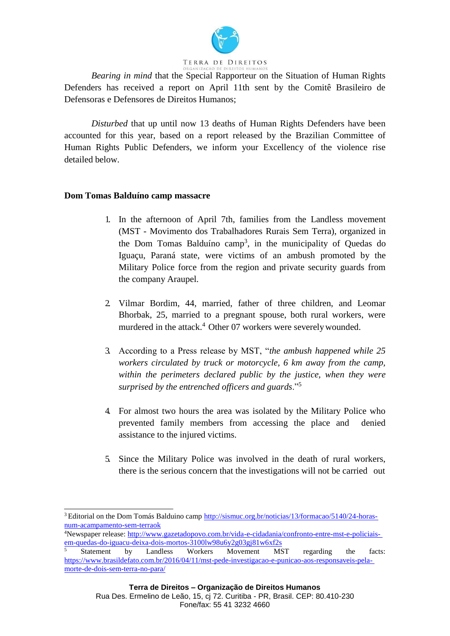

*Bearing in mind* that the Special Rapporteur on the Situation of Human Rights Defenders has received a report on April 11th sent by the Comitê Brasileiro de Defensoras e Defensores de Direitos Humanos;

*Disturbed* that up until now 13 deaths of Human Rights Defenders have been accounted for this year, based on a report released by the Brazilian Committee of Human Rights Public Defenders, we inform your Excellency of the violence rise detailed below.

### **Dom Tomas Balduíno camp massacre**

- 1. In the afternoon of April 7th, families from the Landless movement (MST - Movimento dos Trabalhadores Rurais Sem Terra), organized in the Dom Tomas Balduíno camp<sup>3</sup>, in the municipality of Quedas do Iguaçu, Paraná state, were victims of an ambush promoted by the Military Police force from the region and private security guards from the company Araupel.
- 2. Vilmar Bordim, 44, married, father of three children, and Leomar Bhorbak, 25, married to a pregnant spouse, both rural workers, were murdered in the attack.<sup>4</sup> Other 07 workers were severely wounded.
- 3. According to a Press release by MST, "*the ambush happened while 25 workers circulated by truck or motorcycle, 6 km away from the camp, within the perimeters declared public by the justice, when they were surprised by the entrenched officers and guards*."<sup>5</sup>
- 4. For almost two hours the area was isolated by the Military Police who prevented family members from accessing the place and denied assistance to the injured victims.
- 5. Since the Military Police was involved in the death of rural workers, there is the serious concern that the investigations will not be carried out

4Newspaper release: [http://www.gazetadopovo.com.br/vida-e-cidadania/confronto-entre-mst-e-policiais](http://www.gazetadopovo.com.br/vida-e-cidadania/confronto-entre-mst-e-policiais-em-quedas-do-iguacu-deixa-dois-mortos-3100lw98u6y2g03gj81w6xf2s)[em-quedas-do-iguacu-deixa-dois-mortos-3100lw98u6y2g03gj81w6xf2s](http://www.gazetadopovo.com.br/vida-e-cidadania/confronto-entre-mst-e-policiais-em-quedas-do-iguacu-deixa-dois-mortos-3100lw98u6y2g03gj81w6xf2s)

<sup>3</sup> Editorial on the Dom Tomás Balduino camp [http://sismuc.org.br/noticias/13/formacao/5140/24-horas](http://sismuc.org.br/noticias/13/formacao/5140/24-horas-num-acampamento-sem-terraok)[num-acampamento-sem-terraok](http://sismuc.org.br/noticias/13/formacao/5140/24-horas-num-acampamento-sem-terraok)

<sup>&</sup>lt;sup>5</sup> Statement by Landless Workers Movement MST regarding the facts: [https://www.brasildefato.com.br/2016/04/11/mst-pede-investigacao-e-punicao-aos-responsaveis-pela](https://www.brasildefato.com.br/2016/04/11/mst-pede-investigacao-e-punicao-aos-responsaveis-pela-morte-de-dois-sem-terra-no-para/)[morte-de-dois-sem-terra-no-para/](https://www.brasildefato.com.br/2016/04/11/mst-pede-investigacao-e-punicao-aos-responsaveis-pela-morte-de-dois-sem-terra-no-para/)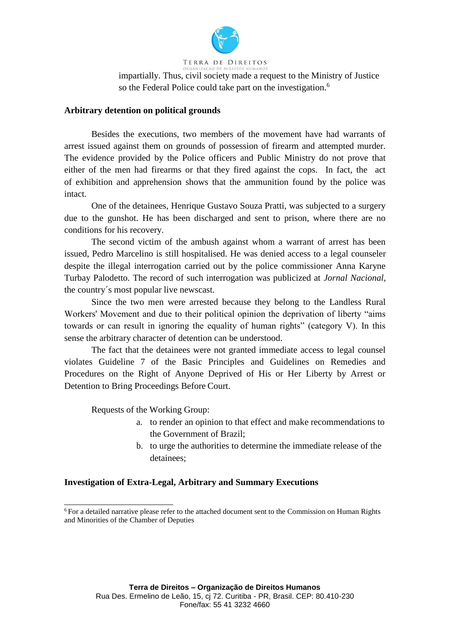

TERRA DE DIREITOS

impartially. Thus, civil society made a request to the Ministry of Justice so the Federal Police could take part on the investigation.<sup>6</sup>

#### **Arbitrary detention on political grounds**

Besides the executions, two members of the movement have had warrants of arrest issued against them on grounds of possession of firearm and attempted murder. The evidence provided by the Police officers and Public Ministry do not prove that either of the men had firearms or that they fired against the cops. In fact, the act of exhibition and apprehension shows that the ammunition found by the police was intact.

One of the detainees, Henrique Gustavo Souza Pratti, was subjected to a surgery due to the gunshot. He has been discharged and sent to prison, where there are no conditions for his recovery.

The second victim of the ambush against whom a warrant of arrest has been issued, Pedro Marcelino is still hospitalised. He was denied access to a legal counseler despite the illegal interrogation carried out by the police commissioner Anna Karyne Turbay Palodetto. The record of such interrogation was publicized at *Jornal Nacional,*  the country´s most popular live newscast.

Since the two men were arrested because they belong to the Landless Rural Workers' Movement and due to their political opinion the deprivation of liberty "aims towards or can result in ignoring the equality of human rights" (category V). In this sense the arbitrary character of detention can be understood.

The fact that the detainees were not granted immediate access to legal counsel violates Guideline 7 of the Basic Principles and Guidelines on Remedies and Procedures on the Right of Anyone Deprived of His or Her Liberty by Arrest or Detention to Bring Proceedings Before Court.

Requests of the Working Group:

- a. to render an opinion to that effect and make recommendations to the Government of Brazil;
- b. to urge the authorities to determine the immediate release of the detainees;

## **Investigation of Extra-Legal, Arbitrary and Summary Executions**

<sup>6</sup>For a detailed narrative please refer to the attached document sent to the Commission on Human Rights and Minorities of the Chamber of Deputies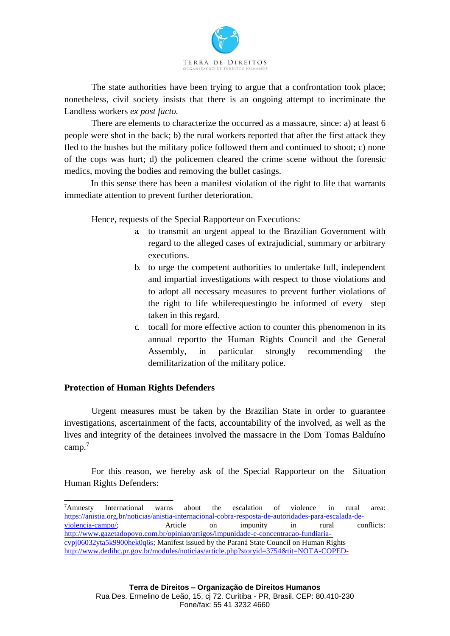

The state authorities have been trying to argue that a confrontation took place; nonetheless, civil society insists that there is an ongoing attempt to incriminate the Landless workers *ex post facto.*

There are elements to characterize the occurred as a massacre, since: a) at least 6 people were shot in the back; b) the rural workers reported that after the first attack they fled to the bushes but the military police followed them and continued to shoot; c) none of the cops was hurt; d) the policemen cleared the crime scene without the forensic medics, moving the bodies and removing the bullet casings.

In this sense there has been a manifest violation of the right to life that warrants immediate attention to prevent further deterioration.

Hence, requests of the Special Rapporteur on Executions:

- a. to transmit an urgent appeal to the Brazilian Government with regard to the alleged cases of extrajudicial, summary or arbitrary executions.
- b. to urge the competent authorities to undertake full, independent and impartial investigations with respect to those violations and to adopt all necessary measures to prevent further violations of the right to life whilerequestingto be informed of every step taken in this regard.
- c. tocall for more effective action to counter this phenomenon in its annual reportto the Human Rights Council and the General Assembly, in particular strongly recommending the demilitarization of the military police.

## **Protection of Human Rights Defenders**

Urgent measures must be taken by the Brazilian State in order to guarantee investigations, ascertainment of the facts, accountability of the involved, as well as the lives and integrity of the detainees involved the massacre in the Dom Tomas Balduíno camp.<sup>7</sup>

For this reason, we hereby ask of the Special Rapporteur on the Situation Human Rights Defenders:

<sup>7</sup>Amnesty International warns about the escalation of violence in rural area: https://anistia.org.br/noticias/anistia-internacional-cobra-resposta-de-autoridades-para-escalada-de-<br>violencia-campo/: Article on impunity in rural conflicts: [violencia-campo/;](https://anistia.org.br/noticias/anistia-internacional-cobra-resposta-de-autoridades-para-escalada-de-violencia-campo/) Article on impunity in rural [http://www.gazetadopovo.com.br/opiniao/artigos/impunidade-e-concentracao-fundiaria](http://www.gazetadopovo.com.br/opiniao/artigos/impunidade-e-concentracao-fundiaria-cvpj06032yta5k9900hek0q6s)[cvpj06032yta5k9900hek0q6s;](http://www.gazetadopovo.com.br/opiniao/artigos/impunidade-e-concentracao-fundiaria-cvpj06032yta5k9900hek0q6s) Manifest issued by the Paraná State Council on Human Rights <http://www.dedihc.pr.gov.br/modules/noticias/article.php?storyid=3754&tit=NOTA-COPED->